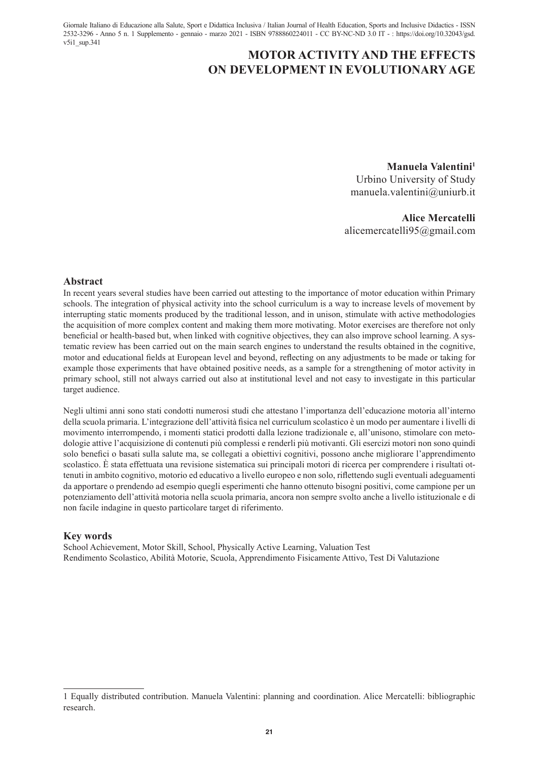Giornale Italiano di Educazione alla Salute, Sport e Didattica Inclusiva / Italian Journal of Health Education, Sports and Inclusive Didactics - ISSN 2532-3296 - Anno 5 n. 1 Supplemento - gennaio - marzo 2021 - ISBN 9788860224011 - CC BY-NC-ND 3.0 IT - : https://doi.org/10.32043/gsd.  $v5i1$  sup.341

# **MOTOR ACTIVITY AND THE EFFECTS ON DEVELOPMENT IN EVOLUTIONARY AGE**

**Manuela Valentini1** Urbino University of Study

manuela.valentini@uniurb.it

**Alice Mercatelli** alicemercatelli95@gmail.com

#### **Abstract**

In recent years several studies have been carried out attesting to the importance of motor education within Primary schools. The integration of physical activity into the school curriculum is a way to increase levels of movement by interrupting static moments produced by the traditional lesson, and in unison, stimulate with active methodologies the acquisition of more complex content and making them more motivating. Motor exercises are therefore not only beneficial or health-based but, when linked with cognitive objectives, they can also improve school learning. A systematic review has been carried out on the main search engines to understand the results obtained in the cognitive, motor and educational fields at European level and beyond, reflecting on any adjustments to be made or taking for example those experiments that have obtained positive needs, as a sample for a strengthening of motor activity in primary school, still not always carried out also at institutional level and not easy to investigate in this particular target audience.

Negli ultimi anni sono stati condotti numerosi studi che attestano l'importanza dell'educazione motoria all'interno della scuola primaria. L'integrazione dell'attività fisica nel curriculum scolastico è un modo per aumentare i livelli di movimento interrompendo, i momenti statici prodotti dalla lezione tradizionale e, all'unisono, stimolare con metodologie attive l'acquisizione di contenuti più complessi e renderli più motivanti. Gli esercizi motori non sono quindi solo benefici o basati sulla salute ma, se collegati a obiettivi cognitivi, possono anche migliorare l'apprendimento scolastico. È stata effettuata una revisione sistematica sui principali motori di ricerca per comprendere i risultati ottenuti in ambito cognitivo, motorio ed educativo a livello europeo e non solo, riflettendo sugli eventuali adeguamenti da apportare o prendendo ad esempio quegli esperimenti che hanno ottenuto bisogni positivi, come campione per un potenziamento dell'attività motoria nella scuola primaria, ancora non sempre svolto anche a livello istituzionale e di non facile indagine in questo particolare target di riferimento.

## **Key words**

School Achievement, Motor Skill, School, Physically Active Learning, Valuation Test Rendimento Scolastico, Abilità Motorie, Scuola, Apprendimento Fisicamente Attivo, Test Di Valutazione

<sup>1</sup> Equally distributed contribution. Manuela Valentini: planning and coordination. Alice Mercatelli: bibliographic research.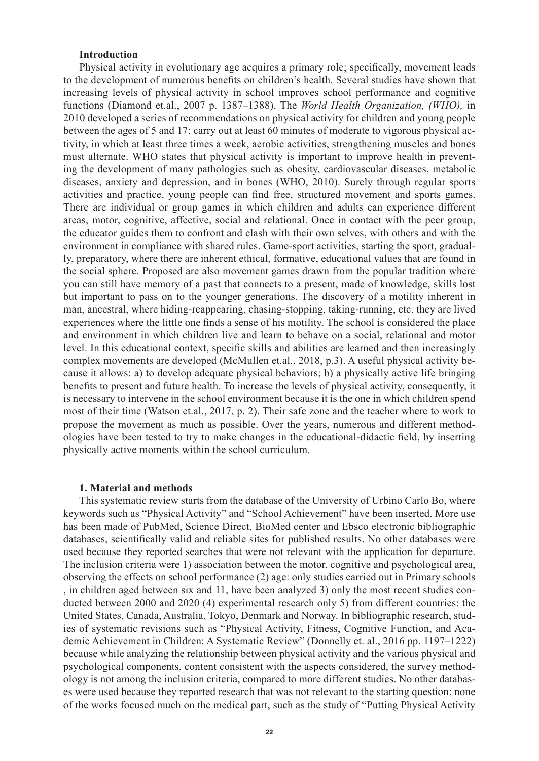## **Introduction**

Physical activity in evolutionary age acquires a primary role; specifically, movement leads to the development of numerous benefits on children's health. Several studies have shown that increasing levels of physical activity in school improves school performance and cognitive functions (Diamond et.al., 2007 p. 1387–1388). The *World Health Organization, (WHO),* in 2010 developed a series of recommendations on physical activity for children and young people between the ages of 5 and 17; carry out at least 60 minutes of moderate to vigorous physical activity, in which at least three times a week, aerobic activities, strengthening muscles and bones must alternate. WHO states that physical activity is important to improve health in preventing the development of many pathologies such as obesity, cardiovascular diseases, metabolic diseases, anxiety and depression, and in bones (WHO, 2010). Surely through regular sports activities and practice, young people can find free, structured movement and sports games. There are individual or group games in which children and adults can experience different areas, motor, cognitive, affective, social and relational. Once in contact with the peer group, the educator guides them to confront and clash with their own selves, with others and with the environment in compliance with shared rules. Game-sport activities, starting the sport, gradually, preparatory, where there are inherent ethical, formative, educational values that are found in the social sphere. Proposed are also movement games drawn from the popular tradition where you can still have memory of a past that connects to a present, made of knowledge, skills lost but important to pass on to the younger generations. The discovery of a motility inherent in man, ancestral, where hiding-reappearing, chasing-stopping, taking-running, etc. they are lived experiences where the little one finds a sense of his motility. The school is considered the place and environment in which children live and learn to behave on a social, relational and motor level. In this educational context, specific skills and abilities are learned and then increasingly complex movements are developed (McMullen et.al., 2018, p.3). A useful physical activity because it allows: a) to develop adequate physical behaviors; b) a physically active life bringing benefits to present and future health. To increase the levels of physical activity, consequently, it is necessary to intervene in the school environment because it is the one in which children spend most of their time (Watson et.al., 2017, p. 2). Their safe zone and the teacher where to work to propose the movement as much as possible. Over the years, numerous and different methodologies have been tested to try to make changes in the educational-didactic field, by inserting physically active moments within the school curriculum.

#### **1. Material and methods**

This systematic review starts from the database of the University of Urbino Carlo Bo, where keywords such as "Physical Activity" and "School Achievement" have been inserted. More use has been made of PubMed, Science Direct, BioMed center and Ebsco electronic bibliographic databases, scientifically valid and reliable sites for published results. No other databases were used because they reported searches that were not relevant with the application for departure. The inclusion criteria were 1) association between the motor, cognitive and psychological area, observing the effects on school performance (2) age: only studies carried out in Primary schools , in children aged between six and 11, have been analyzed 3) only the most recent studies conducted between 2000 and 2020 (4) experimental research only 5) from different countries: the United States, Canada, Australia, Tokyo, Denmark and Norway. In bibliographic research, studies of systematic revisions such as "Physical Activity, Fitness, Cognitive Function, and Academic Achievement in Children: A Systematic Review" (Donnelly et. al., 2016 pp. 1197–1222) because while analyzing the relationship between physical activity and the various physical and psychological components, content consistent with the aspects considered, the survey methodology is not among the inclusion criteria, compared to more different studies. No other databases were used because they reported research that was not relevant to the starting question: none of the works focused much on the medical part, such as the study of "Putting Physical Activity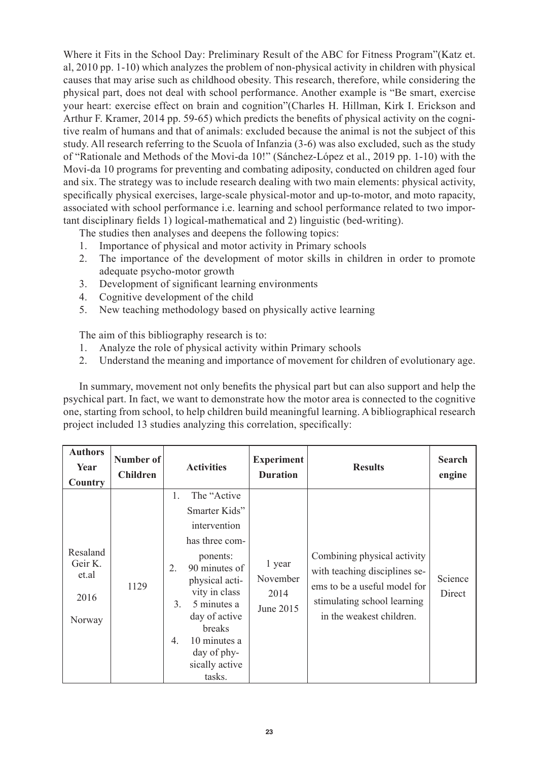Where it Fits in the School Day: Preliminary Result of the ABC for Fitness Program"(Katz et. al, 2010 pp. 1-10) which analyzes the problem of non-physical activity in children with physical causes that may arise such as childhood obesity. This research, therefore, while considering the physical part, does not deal with school performance. Another example is "Be smart, exercise your heart: exercise effect on brain and cognition"(Charles H. Hillman, Kirk I. Erickson and Arthur F. Kramer, 2014 pp. 59-65) which predicts the benefits of physical activity on the cognitive realm of humans and that of animals: excluded because the animal is not the subject of this study. All research referring to the Scuola of Infanzia (3-6) was also excluded, such as the study of "Rationale and Methods of the Movi-da 10!" (Sánchez-López et al., 2019 pp. 1-10) with the Movi-da 10 programs for preventing and combating adiposity, conducted on children aged four and six. The strategy was to include research dealing with two main elements: physical activity, specifically physical exercises, large-scale physical-motor and up-to-motor, and moto rapacity, associated with school performance i.e. learning and school performance related to two important disciplinary fields 1) logical-mathematical and 2) linguistic (bed-writing).

The studies then analyses and deepens the following topics:

- 1. Importance of physical and motor activity in Primary schools
- 2. The importance of the development of motor skills in children in order to promote adequate psycho-motor growth
- 3. Development of significant learning environments
- 4. Cognitive development of the child
- 5. New teaching methodology based on physically active learning

The aim of this bibliography research is to:

- 1. Analyze the role of physical activity within Primary schools
- 2. Understand the meaning and importance of movement for children of evolutionary age.

In summary, movement not only benefits the physical part but can also support and help the psychical part. In fact, we want to demonstrate how the motor area is connected to the cognitive one, starting from school, to help children build meaningful learning. A bibliographical research project included 13 studies analyzing this correlation, specifically:

| <b>Authors</b><br>Year<br>Country              | Number of<br><b>Children</b> | <b>Activities</b>                                                                                                                                                                                                                                                                      | <b>Experiment</b><br><b>Duration</b>    | <b>Results</b>                                                                                                                                          | <b>Search</b><br>engine |
|------------------------------------------------|------------------------------|----------------------------------------------------------------------------------------------------------------------------------------------------------------------------------------------------------------------------------------------------------------------------------------|-----------------------------------------|---------------------------------------------------------------------------------------------------------------------------------------------------------|-------------------------|
| Resaland<br>Geir K.<br>et.al<br>2016<br>Norway | 1129                         | The "Active"<br>1.<br>Smarter Kids"<br>intervention<br>has three com-<br>ponents:<br>90 minutes of<br>$\overline{2}$ .<br>physical acti-<br>vity in class<br>5 minutes a<br>3.<br>day of active<br>breaks<br>10 minutes a<br>4 <sub>1</sub><br>day of phy-<br>sically active<br>tasks. | 1 year<br>November<br>2014<br>June 2015 | Combining physical activity<br>with teaching disciplines se-<br>ems to be a useful model for<br>stimulating school learning<br>in the weakest children. | Science<br>Direct       |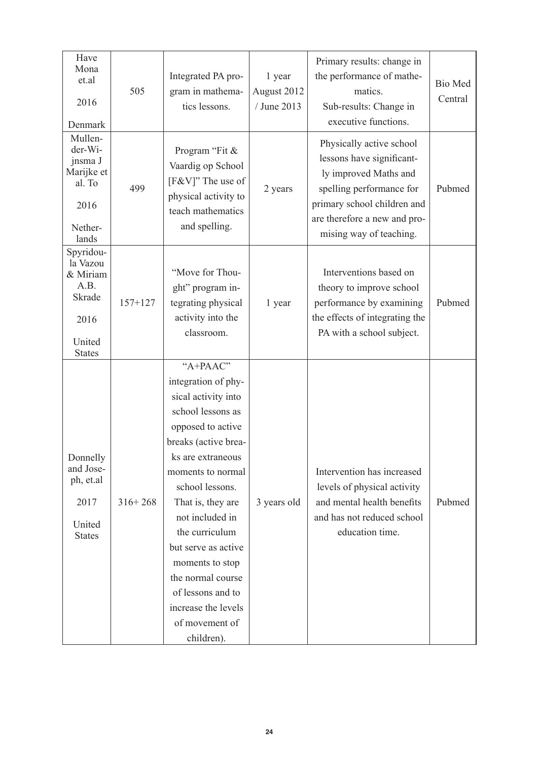| Have<br>Mona<br>et.al<br>2016<br>Denmark                                               | 505         | Integrated PA pro-<br>gram in mathema-<br>tics lessons.                                                                                                                                                                                                                                                                                                                                    | 1 year<br>August 2012<br>/ June 2013 | Primary results: change in<br>the performance of mathe-<br>matics.<br>Sub-results: Change in<br>executive functions.                                                                                 | Bio Med<br>Central |
|----------------------------------------------------------------------------------------|-------------|--------------------------------------------------------------------------------------------------------------------------------------------------------------------------------------------------------------------------------------------------------------------------------------------------------------------------------------------------------------------------------------------|--------------------------------------|------------------------------------------------------------------------------------------------------------------------------------------------------------------------------------------------------|--------------------|
| Mullen-<br>der-Wi-<br>jnsma J<br>Marijke et<br>al. To<br>2016<br>Nether-<br>lands      | 499         | Program "Fit &<br>Vaardig op School<br>[F&V]" The use of<br>physical activity to<br>teach mathematics<br>and spelling.                                                                                                                                                                                                                                                                     | 2 years                              | Physically active school<br>lessons have significant-<br>ly improved Maths and<br>spelling performance for<br>primary school children and<br>are therefore a new and pro-<br>mising way of teaching. | Pubmed             |
| Spyridou-<br>la Vazou<br>& Miriam<br>A.B.<br>Skrade<br>2016<br>United<br><b>States</b> | $157+127$   | "Move for Thou-<br>ght" program in-<br>tegrating physical<br>activity into the<br>classroom.                                                                                                                                                                                                                                                                                               | 1 year                               | Interventions based on<br>theory to improve school<br>performance by examining<br>the effects of integrating the<br>PA with a school subject.                                                        | Pubmed             |
| Donnelly<br>and Jose-<br>ph, et.al<br>2017<br>United<br><b>States</b>                  | $316 + 268$ | "A+PAAC"<br>integration of phy-<br>sical activity into<br>school lessons as<br>opposed to active<br>breaks (active brea-<br>ks are extraneous<br>moments to normal<br>school lessons.<br>That is, they are<br>not included in<br>the curriculum<br>but serve as active<br>moments to stop<br>the normal course<br>of lessons and to<br>increase the levels<br>of movement of<br>children). | 3 years old                          | Intervention has increased<br>levels of physical activity<br>and mental health benefits<br>and has not reduced school<br>education time.                                                             | Pubmed             |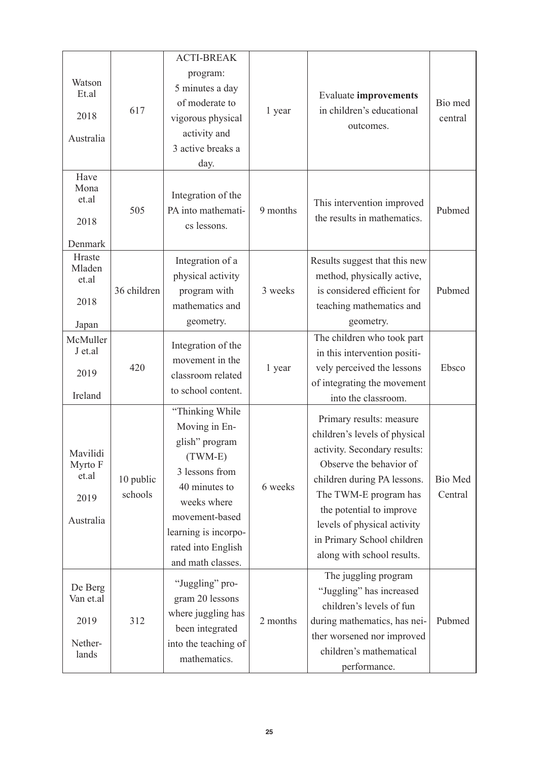| Watson<br>Et.al<br>2018<br>Australia              | 617                  | <b>ACTI-BREAK</b><br>program:<br>5 minutes a day<br>of moderate to<br>vigorous physical<br>activity and<br>3 active breaks a<br>day.                                                                   | 1 year   | <b>Evaluate improvements</b><br>in children's educational<br>outcomes.                                                                                                                                                                                                                              | Bio med<br>central |
|---------------------------------------------------|----------------------|--------------------------------------------------------------------------------------------------------------------------------------------------------------------------------------------------------|----------|-----------------------------------------------------------------------------------------------------------------------------------------------------------------------------------------------------------------------------------------------------------------------------------------------------|--------------------|
| Have<br>Mona<br>et.al<br>2018<br>Denmark          | 505                  | Integration of the<br>PA into mathemati-<br>cs lessons.                                                                                                                                                | 9 months | This intervention improved<br>the results in mathematics.                                                                                                                                                                                                                                           | Pubmed             |
| Hraste<br>Mladen<br>et.al<br>2018<br>Japan        | 36 children          | Integration of a<br>physical activity<br>program with<br>mathematics and<br>geometry.                                                                                                                  | 3 weeks  | Results suggest that this new<br>method, physically active,<br>is considered efficient for<br>teaching mathematics and<br>geometry.                                                                                                                                                                 | Pubmed             |
| McMuller<br>J et al<br>2019<br>Ireland            | 420                  | Integration of the<br>movement in the<br>classroom related<br>to school content.                                                                                                                       | 1 year   | The children who took part<br>in this intervention positi-<br>vely perceived the lessons<br>of integrating the movement<br>into the classroom.                                                                                                                                                      | Ebsco              |
| Mavilidi<br>Myrto F<br>et.al<br>2019<br>Australia | 10 public<br>schools | "Thinking While<br>Moving in En-<br>glish" program<br>$(TWM-E)$<br>3 lessons from<br>40 minutes to<br>weeks where<br>movement-based<br>learning is incorpo-<br>rated into English<br>and math classes. | 6 weeks  | Primary results: measure<br>children's levels of physical<br>activity. Secondary results:<br>Observe the behavior of<br>children during PA lessons.<br>The TWM-E program has<br>the potential to improve<br>levels of physical activity<br>in Primary School children<br>along with school results. | Bio Med<br>Central |
| De Berg<br>Van et.al<br>2019<br>Nether-<br>lands  | 312                  | "Juggling" pro-<br>gram 20 lessons<br>where juggling has<br>been integrated<br>into the teaching of<br>mathematics.                                                                                    | 2 months | The juggling program<br>"Juggling" has increased<br>children's levels of fun<br>during mathematics, has nei-<br>ther worsened nor improved<br>children's mathematical<br>performance.                                                                                                               | Pubmed             |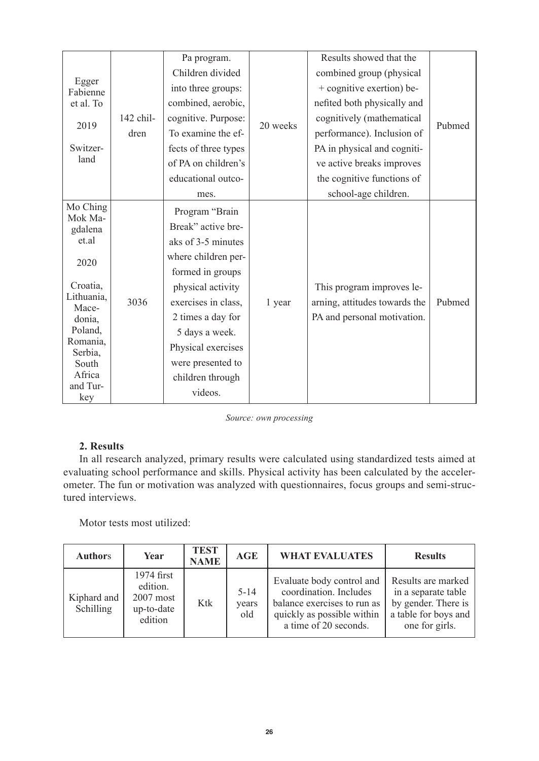|                     |           | Pa program.          |          | Results showed that the       |        |  |
|---------------------|-----------|----------------------|----------|-------------------------------|--------|--|
| Egger<br>Fabienne   |           | Children divided     |          | combined group (physical      |        |  |
|                     |           | into three groups:   |          | + cognitive exertion) be-     |        |  |
| et al. To           |           | combined, aerobic,   |          | nefited both physically and   |        |  |
|                     | 142 chil- | cognitive. Purpose:  | 20 weeks | cognitively (mathematical     | Pubmed |  |
| 2019                | dren      | To examine the ef-   |          | performance). Inclusion of    |        |  |
| Switzer-            |           | fects of three types |          | PA in physical and cogniti-   |        |  |
| land                |           | of PA on children's  |          | ve active breaks improves     |        |  |
|                     |           | educational outco-   |          | the cognitive functions of    |        |  |
|                     |           | mes.                 |          | school-age children.          |        |  |
| Mo Ching            |           | Program "Brain       |          |                               |        |  |
| Mok Ma-<br>gdalena  |           | Break" active bre-   |          |                               |        |  |
| et.al<br>2020       |           | aks of 3-5 minutes   |          |                               |        |  |
|                     |           | where children per-  |          |                               |        |  |
|                     |           | formed in groups     |          |                               |        |  |
| Croatia,            |           | physical activity    |          | This program improves le-     |        |  |
| Lithuania.<br>Mace- | 3036      | exercises in class,  | 1 year   | arning, attitudes towards the | Pubmed |  |
| donia.              |           | 2 times a day for    |          | PA and personal motivation.   |        |  |
| Poland,             |           | 5 days a week.       |          |                               |        |  |
| Romania,<br>Serbia. |           | Physical exercises   |          |                               |        |  |
| South               |           | were presented to    |          |                               |        |  |
| Africa              |           | children through     |          |                               |        |  |
| and Tur-<br>key     |           | videos.              |          |                               |        |  |

#### *Source: own processing*

## **2. Results**

In all research analyzed, primary results were calculated using standardized tests aimed at evaluating school performance and skills. Physical activity has been calculated by the accelerometer. The fun or motivation was analyzed with questionnaires, focus groups and semi-structured interviews.

Motor tests most utilized:

| <b>Authors</b>           | Year                                                           | <b>TEST</b><br><b>NAME</b> | AGE                      | <b>WHAT EVALUATES</b>                                                                                                                     | <b>Results</b>                                                                                             |
|--------------------------|----------------------------------------------------------------|----------------------------|--------------------------|-------------------------------------------------------------------------------------------------------------------------------------------|------------------------------------------------------------------------------------------------------------|
| Kiphard and<br>Schilling | 1974 first<br>edition.<br>$2007$ most<br>up-to-date<br>edition | <b>Ktk</b>                 | $5 - 14$<br>years<br>old | Evaluate body control and<br>coordination. Includes<br>balance exercises to run as<br>quickly as possible within<br>a time of 20 seconds. | Results are marked<br>in a separate table<br>by gender. There is<br>a table for boys and<br>one for girls. |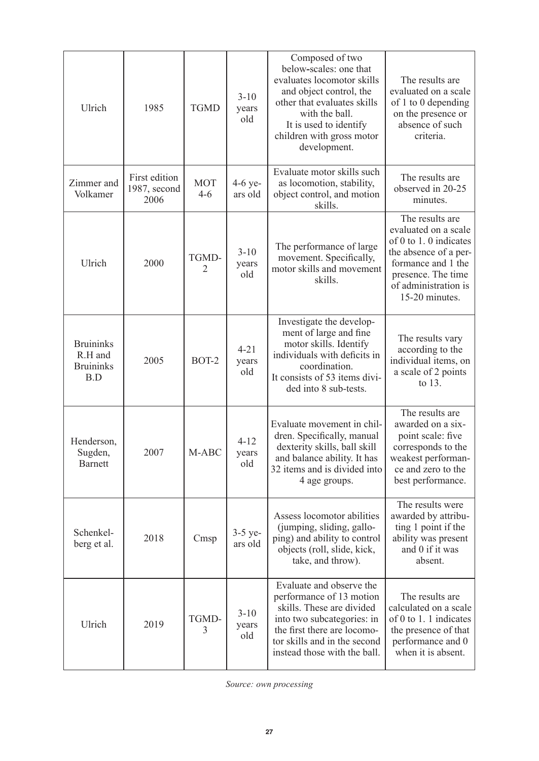| Ulrich                                                 | 1985                                  | <b>TGMD</b>       | $3-10$<br>years<br>old   | Composed of two<br>below-scales: one that<br>evaluates locomotor skills<br>and object control, the<br>other that evaluates skills<br>with the ball.<br>It is used to identify<br>children with gross motor<br>development. | The results are<br>evaluated on a scale<br>of 1 to 0 depending<br>on the presence or<br>absence of such<br>criteria.                                                                    |
|--------------------------------------------------------|---------------------------------------|-------------------|--------------------------|----------------------------------------------------------------------------------------------------------------------------------------------------------------------------------------------------------------------------|-----------------------------------------------------------------------------------------------------------------------------------------------------------------------------------------|
| Zimmer and<br>Volkamer                                 | First edition<br>1987, second<br>2006 | <b>MOT</b><br>4-6 | 4-6 ye-<br>ars old       | Evaluate motor skills such<br>as locomotion, stability,<br>object control, and motion<br>skills.                                                                                                                           | The results are<br>observed in 20-25<br>minutes.                                                                                                                                        |
| Ulrich                                                 | 2000                                  | TGMD-<br>2        | $3 - 10$<br>years<br>old | The performance of large<br>movement. Specifically,<br>motor skills and movement<br>skills.                                                                                                                                | The results are<br>evaluated on a scale<br>of $0$ to $1$ . $0$ indicates<br>the absence of a per-<br>formance and 1 the<br>presence. The time<br>of administration is<br>15-20 minutes. |
| <b>Bruininks</b><br>R.H and<br><b>Bruininks</b><br>B.D | 2005                                  | BOT-2             | $4 - 21$<br>vears<br>old | Investigate the develop-<br>ment of large and fine<br>motor skills. Identify<br>individuals with deficits in<br>coordination.<br>It consists of 53 items divi-<br>ded into 8 sub-tests.                                    | The results vary<br>according to the<br>individual items, on<br>a scale of 2 points<br>to $13.$                                                                                         |
| Henderson,<br>Sugden,<br><b>Barnett</b>                | 2007                                  | M-ABC             | $4 - 12$<br>years<br>old | Evaluate movement in chil-<br>dren. Specifically, manual<br>dexterity skills, ball skill<br>and balance ability. It has<br>32 items and is divided into<br>4 age groups.                                                   | The results are<br>awarded on a six-<br>point scale: five<br>corresponds to the<br>weakest performan-<br>ce and zero to the<br>best performance.                                        |
| Schenkel-<br>berg et al.                               | 2018                                  | Cmsp              | $3-5$ ye-<br>ars old     | Assess locomotor abilities<br>(jumping, sliding, gallo-<br>ping) and ability to control<br>objects (roll, slide, kick,<br>take, and throw).                                                                                | The results were<br>awarded by attribu-<br>ting 1 point if the<br>ability was present<br>and 0 if it was<br>absent.                                                                     |
| Ulrich                                                 | 2019                                  | TGMD-<br>3        | $3 - 10$<br>years<br>old | Evaluate and observe the<br>performance of 13 motion<br>skills. These are divided<br>into two subcategories: in<br>the first there are locomo-<br>tor skills and in the second<br>instead those with the ball.             | The results are<br>calculated on a scale<br>of $0$ to $1$ . 1 indicates<br>the presence of that<br>performance and 0<br>when it is absent.                                              |

*Source: own processing*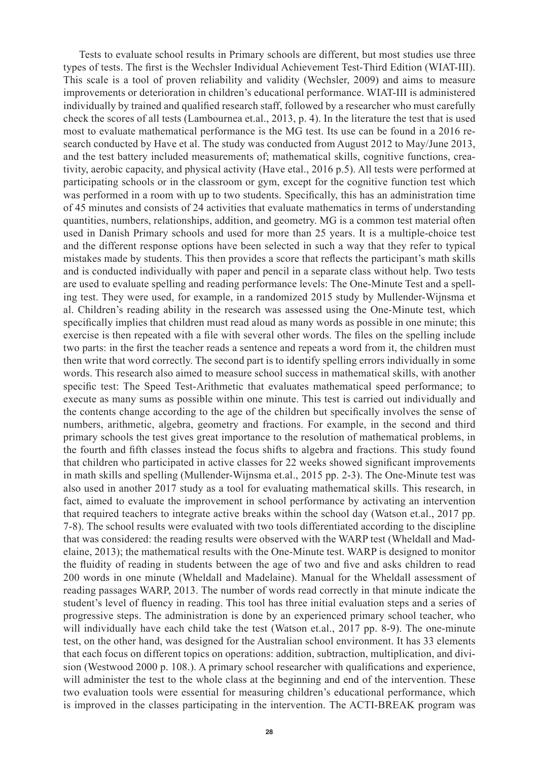Tests to evaluate school results in Primary schools are different, but most studies use three types of tests. The first is the Wechsler Individual Achievement Test-Third Edition (WIAT-III). This scale is a tool of proven reliability and validity (Wechsler, 2009) and aims to measure improvements or deterioration in children's educational performance. WIAT-III is administered individually by trained and qualified research staff, followed by a researcher who must carefully check the scores of all tests (Lambournea et.al., 2013, p. 4). In the literature the test that is used most to evaluate mathematical performance is the MG test. Its use can be found in a 2016 research conducted by Have et al. The study was conducted from August 2012 to May/June 2013, and the test battery included measurements of; mathematical skills, cognitive functions, creativity, aerobic capacity, and physical activity (Have etal., 2016 p.5). All tests were performed at participating schools or in the classroom or gym, except for the cognitive function test which was performed in a room with up to two students. Specifically, this has an administration time of 45 minutes and consists of 24 activities that evaluate mathematics in terms of understanding quantities, numbers, relationships, addition, and geometry. MG is a common test material often used in Danish Primary schools and used for more than 25 years. It is a multiple-choice test and the different response options have been selected in such a way that they refer to typical mistakes made by students. This then provides a score that reflects the participant's math skills and is conducted individually with paper and pencil in a separate class without help. Two tests are used to evaluate spelling and reading performance levels: The One-Minute Test and a spelling test. They were used, for example, in a randomized 2015 study by Mullender-Wijnsma et al. Children's reading ability in the research was assessed using the One-Minute test, which specifically implies that children must read aloud as many words as possible in one minute; this exercise is then repeated with a file with several other words. The files on the spelling include two parts: in the first the teacher reads a sentence and repeats a word from it, the children must then write that word correctly. The second part is to identify spelling errors individually in some words. This research also aimed to measure school success in mathematical skills, with another specific test: The Speed Test-Arithmetic that evaluates mathematical speed performance; to execute as many sums as possible within one minute. This test is carried out individually and the contents change according to the age of the children but specifically involves the sense of numbers, arithmetic, algebra, geometry and fractions. For example, in the second and third primary schools the test gives great importance to the resolution of mathematical problems, in the fourth and fifth classes instead the focus shifts to algebra and fractions. This study found that children who participated in active classes for 22 weeks showed significant improvements in math skills and spelling (Mullender-Wijnsma et.al., 2015 pp. 2-3). The One-Minute test was also used in another 2017 study as a tool for evaluating mathematical skills. This research, in fact, aimed to evaluate the improvement in school performance by activating an intervention that required teachers to integrate active breaks within the school day (Watson et.al., 2017 pp. 7-8). The school results were evaluated with two tools differentiated according to the discipline that was considered: the reading results were observed with the WARP test (Wheldall and Madelaine, 2013); the mathematical results with the One-Minute test. WARP is designed to monitor the fluidity of reading in students between the age of two and five and asks children to read 200 words in one minute (Wheldall and Madelaine). Manual for the Wheldall assessment of reading passages WARP, 2013. The number of words read correctly in that minute indicate the student's level of fluency in reading. This tool has three initial evaluation steps and a series of progressive steps. The administration is done by an experienced primary school teacher, who will individually have each child take the test (Watson et.al., 2017 pp. 8-9). The one-minute test, on the other hand, was designed for the Australian school environment. It has 33 elements that each focus on different topics on operations: addition, subtraction, multiplication, and division (Westwood 2000 p. 108.). A primary school researcher with qualifications and experience, will administer the test to the whole class at the beginning and end of the intervention. These two evaluation tools were essential for measuring children's educational performance, which is improved in the classes participating in the intervention. The ACTI-BREAK program was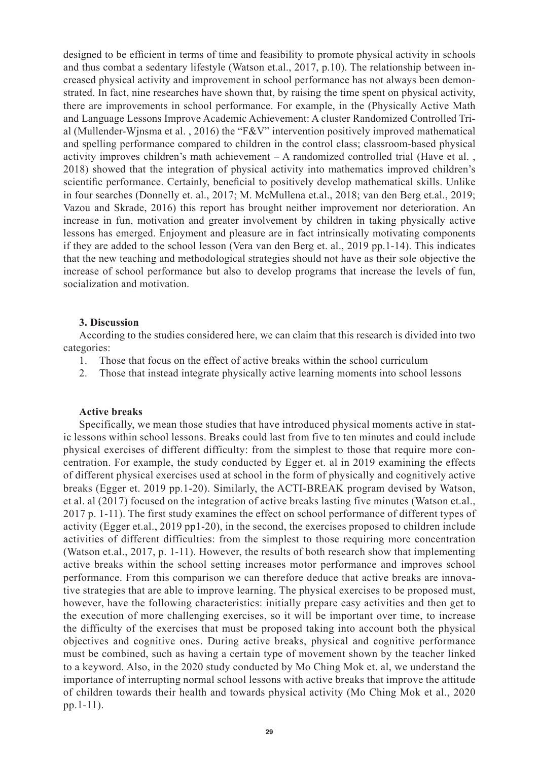designed to be efficient in terms of time and feasibility to promote physical activity in schools and thus combat a sedentary lifestyle (Watson et.al., 2017, p.10). The relationship between increased physical activity and improvement in school performance has not always been demonstrated. In fact, nine researches have shown that, by raising the time spent on physical activity, there are improvements in school performance. For example, in the (Physically Active Math and Language Lessons Improve Academic Achievement: A cluster Randomized Controlled Trial (Mullender-Wjnsma et al. , 2016) the "F&V" intervention positively improved mathematical and spelling performance compared to children in the control class; classroom-based physical activity improves children's math achievement – A randomized controlled trial (Have et al. , 2018) showed that the integration of physical activity into mathematics improved children's scientific performance. Certainly, beneficial to positively develop mathematical skills. Unlike in four searches (Donnelly et. al., 2017; M. McMullena et.al., 2018; van den Berg et.al., 2019; Vazou and Skrade, 2016) this report has brought neither improvement nor deterioration. An increase in fun, motivation and greater involvement by children in taking physically active lessons has emerged. Enjoyment and pleasure are in fact intrinsically motivating components if they are added to the school lesson (Vera van den Berg et. al., 2019 pp.1-14). This indicates that the new teaching and methodological strategies should not have as their sole objective the increase of school performance but also to develop programs that increase the levels of fun, socialization and motivation.

## **3. Discussion**

According to the studies considered here, we can claim that this research is divided into two categories:

- 1. Those that focus on the effect of active breaks within the school curriculum
- 2. Those that instead integrate physically active learning moments into school lessons

## **Active breaks**

Specifically, we mean those studies that have introduced physical moments active in static lessons within school lessons. Breaks could last from five to ten minutes and could include physical exercises of different difficulty: from the simplest to those that require more concentration. For example, the study conducted by Egger et. al in 2019 examining the effects of different physical exercises used at school in the form of physically and cognitively active breaks (Egger et. 2019 pp.1-20). Similarly, the ACTI-BREAK program devised by Watson, et al. al (2017) focused on the integration of active breaks lasting five minutes (Watson et.al., 2017 p. 1-11). The first study examines the effect on school performance of different types of activity (Egger et.al., 2019 pp1-20), in the second, the exercises proposed to children include activities of different difficulties: from the simplest to those requiring more concentration (Watson et.al., 2017, p. 1-11). However, the results of both research show that implementing active breaks within the school setting increases motor performance and improves school performance. From this comparison we can therefore deduce that active breaks are innovative strategies that are able to improve learning. The physical exercises to be proposed must, however, have the following characteristics: initially prepare easy activities and then get to the execution of more challenging exercises, so it will be important over time, to increase the difficulty of the exercises that must be proposed taking into account both the physical objectives and cognitive ones. During active breaks, physical and cognitive performance must be combined, such as having a certain type of movement shown by the teacher linked to a keyword. Also, in the 2020 study conducted by Mo Ching Mok et. al, we understand the importance of interrupting normal school lessons with active breaks that improve the attitude of children towards their health and towards physical activity (Mo Ching Mok et al., 2020 pp.1-11).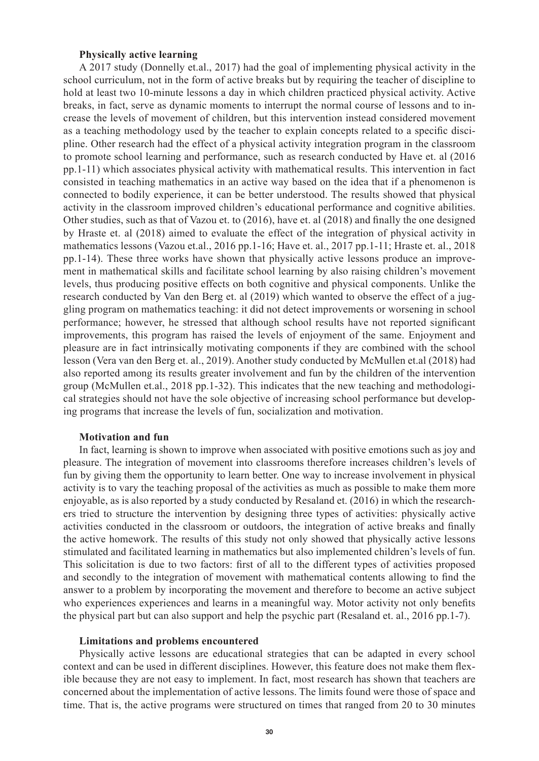## **Physically active learning**

A 2017 study (Donnelly et.al., 2017) had the goal of implementing physical activity in the school curriculum, not in the form of active breaks but by requiring the teacher of discipline to hold at least two 10-minute lessons a day in which children practiced physical activity. Active breaks, in fact, serve as dynamic moments to interrupt the normal course of lessons and to increase the levels of movement of children, but this intervention instead considered movement as a teaching methodology used by the teacher to explain concepts related to a specific discipline. Other research had the effect of a physical activity integration program in the classroom to promote school learning and performance, such as research conducted by Have et. al (2016 pp.1-11) which associates physical activity with mathematical results. This intervention in fact consisted in teaching mathematics in an active way based on the idea that if a phenomenon is connected to bodily experience, it can be better understood. The results showed that physical activity in the classroom improved children's educational performance and cognitive abilities. Other studies, such as that of Vazou et. to (2016), have et. al (2018) and finally the one designed by Hraste et. al (2018) aimed to evaluate the effect of the integration of physical activity in mathematics lessons (Vazou et.al., 2016 pp.1-16; Have et. al., 2017 pp.1-11; Hraste et. al., 2018 pp.1-14). These three works have shown that physically active lessons produce an improvement in mathematical skills and facilitate school learning by also raising children's movement levels, thus producing positive effects on both cognitive and physical components. Unlike the research conducted by Van den Berg et. al (2019) which wanted to observe the effect of a juggling program on mathematics teaching: it did not detect improvements or worsening in school performance; however, he stressed that although school results have not reported significant improvements, this program has raised the levels of enjoyment of the same. Enjoyment and pleasure are in fact intrinsically motivating components if they are combined with the school lesson (Vera van den Berg et. al., 2019). Another study conducted by McMullen et.al (2018) had also reported among its results greater involvement and fun by the children of the intervention group (McMullen et.al., 2018 pp.1-32). This indicates that the new teaching and methodological strategies should not have the sole objective of increasing school performance but developing programs that increase the levels of fun, socialization and motivation.

## **Motivation and fun**

In fact, learning is shown to improve when associated with positive emotions such as joy and pleasure. The integration of movement into classrooms therefore increases children's levels of fun by giving them the opportunity to learn better. One way to increase involvement in physical activity is to vary the teaching proposal of the activities as much as possible to make them more enjoyable, as is also reported by a study conducted by Resaland et. (2016) in which the researchers tried to structure the intervention by designing three types of activities: physically active activities conducted in the classroom or outdoors, the integration of active breaks and finally the active homework. The results of this study not only showed that physically active lessons stimulated and facilitated learning in mathematics but also implemented children's levels of fun. This solicitation is due to two factors: first of all to the different types of activities proposed and secondly to the integration of movement with mathematical contents allowing to find the answer to a problem by incorporating the movement and therefore to become an active subject who experiences experiences and learns in a meaningful way. Motor activity not only benefits the physical part but can also support and help the psychic part (Resaland et. al., 2016 pp.1-7).

#### **Limitations and problems encountered**

Physically active lessons are educational strategies that can be adapted in every school context and can be used in different disciplines. However, this feature does not make them flexible because they are not easy to implement. In fact, most research has shown that teachers are concerned about the implementation of active lessons. The limits found were those of space and time. That is, the active programs were structured on times that ranged from 20 to 30 minutes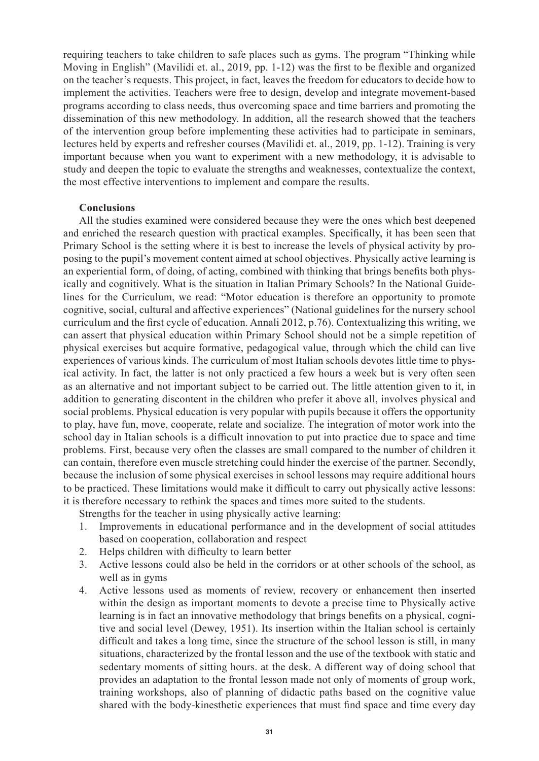requiring teachers to take children to safe places such as gyms. The program "Thinking while Moving in English" (Mavilidi et. al., 2019, pp. 1-12) was the first to be flexible and organized on the teacher's requests. This project, in fact, leaves the freedom for educators to decide how to implement the activities. Teachers were free to design, develop and integrate movement-based programs according to class needs, thus overcoming space and time barriers and promoting the dissemination of this new methodology. In addition, all the research showed that the teachers of the intervention group before implementing these activities had to participate in seminars, lectures held by experts and refresher courses (Mavilidi et. al., 2019, pp. 1-12). Training is very important because when you want to experiment with a new methodology, it is advisable to study and deepen the topic to evaluate the strengths and weaknesses, contextualize the context, the most effective interventions to implement and compare the results.

## **Conclusions**

All the studies examined were considered because they were the ones which best deepened and enriched the research question with practical examples. Specifically, it has been seen that Primary School is the setting where it is best to increase the levels of physical activity by proposing to the pupil's movement content aimed at school objectives. Physically active learning is an experiential form, of doing, of acting, combined with thinking that brings benefits both physically and cognitively. What is the situation in Italian Primary Schools? In the National Guidelines for the Curriculum, we read: "Motor education is therefore an opportunity to promote cognitive, social, cultural and affective experiences" (National guidelines for the nursery school curriculum and the first cycle of education. Annali 2012, p.76). Contextualizing this writing, we can assert that physical education within Primary School should not be a simple repetition of physical exercises but acquire formative, pedagogical value, through which the child can live experiences of various kinds. The curriculum of most Italian schools devotes little time to physical activity. In fact, the latter is not only practiced a few hours a week but is very often seen as an alternative and not important subject to be carried out. The little attention given to it, in addition to generating discontent in the children who prefer it above all, involves physical and social problems. Physical education is very popular with pupils because it offers the opportunity to play, have fun, move, cooperate, relate and socialize. The integration of motor work into the school day in Italian schools is a difficult innovation to put into practice due to space and time problems. First, because very often the classes are small compared to the number of children it can contain, therefore even muscle stretching could hinder the exercise of the partner. Secondly, because the inclusion of some physical exercises in school lessons may require additional hours to be practiced. These limitations would make it difficult to carry out physically active lessons: it is therefore necessary to rethink the spaces and times more suited to the students.

Strengths for the teacher in using physically active learning:

- 1. Improvements in educational performance and in the development of social attitudes based on cooperation, collaboration and respect
- 2. Helps children with difficulty to learn better
- 3. Active lessons could also be held in the corridors or at other schools of the school, as well as in gyms
- 4. Active lessons used as moments of review, recovery or enhancement then inserted within the design as important moments to devote a precise time to Physically active learning is in fact an innovative methodology that brings benefits on a physical, cognitive and social level (Dewey, 1951). Its insertion within the Italian school is certainly difficult and takes a long time, since the structure of the school lesson is still, in many situations, characterized by the frontal lesson and the use of the textbook with static and sedentary moments of sitting hours. at the desk. A different way of doing school that provides an adaptation to the frontal lesson made not only of moments of group work, training workshops, also of planning of didactic paths based on the cognitive value shared with the body-kinesthetic experiences that must find space and time every day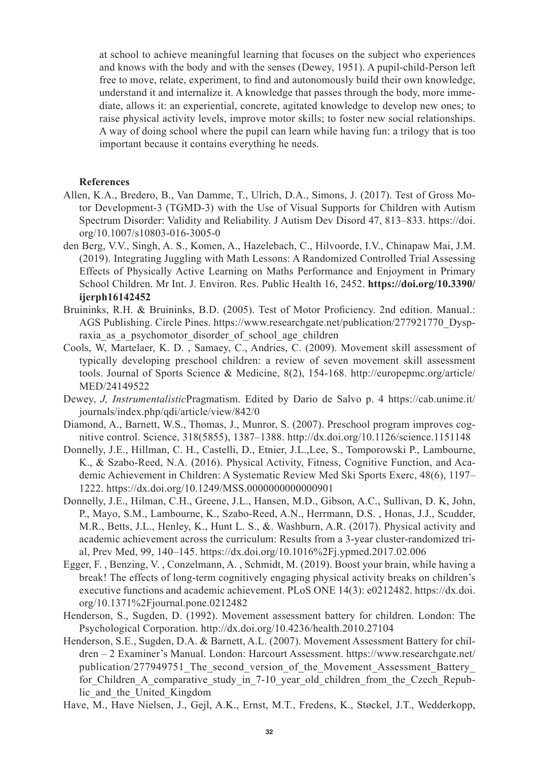at school to achieve meaningful learning that focuses on the subject who experiences and knows with the body and with the senses (Dewey, 1951). A pupil-child-Person left free to move, relate, experiment, to find and autonomously build their own knowledge, understand it and internalize it. A knowledge that passes through the body, more immediate, allows it: an experiential, concrete, agitated knowledge to develop new ones; to raise physical activity levels, improve motor skills; to foster new social relationships. A way of doing school where the pupil can learn while having fun: a trilogy that is too important because it contains everything he needs.

## **References**

- Allen, K.A., Bredero, B., Van Damme, T., Ulrich, D.A., Simons, J. (2017). Test of Gross Motor Development-3 (TGMD-3) with the Use of Visual Supports for Children with Autism Spectrum Disorder: Validity and Reliability. J Autism Dev Disord 47, 813–833. https://doi. org/10.1007/s10803-016-3005-0
- den Berg, V.V., Singh, A. S., Komen, A., Hazelebach, C., Hilvoorde, I.V., Chinapaw Mai, J.M. (2019). Integrating Juggling with Math Lessons: A Randomized Controlled Trial Assessing Effects of Physically Active Learning on Maths Performance and Enjoyment in Primary School Children. Mr Int. J. Environ. Res. Public Health 16, 2452. **https://doi.org/10.3390/ ijerph16142452**
- Bruininks, R.H. & Bruininks, B.D. (2005). Test of Motor Proficiency. 2nd edition. Manual.: AGS Publishing. Circle Pines. https://www.researchgate.net/publication/277921770\_Dyspraxia as a psychomotor disorder of school age children
- Cools, W, Martelaer, K. D. , Samaey, C., Andries, C. (2009). Movement skill assessment of typically developing preschool children: a review of seven movement skill assessment tools. Journal of Sports Science & Medicine, 8(2), 154-168. http://europepmc.org/article/ MED/24149522
- Dewey, *J, Instrumentalistic*Pragmatism. Edited by Dario de Salvo p. 4 https://cab.unime.it/ journals/index.php/qdi/article/view/842/0
- Diamond, A., Barnett, W.S., Thomas, J., Munror, S. (2007). Preschool program improves cognitive control. Science, 318(5855), 1387–1388. http://dx.doi.org/10.1126/science.1151148
- Donnelly, J.E., Hillman, C. H., Castelli, D., Etnier, J.L.,Lee, S., Tomporowski P., Lambourne, K., & Szabo-Reed, N.A. (2016). Physical Activity, Fitness, Cognitive Function, and Academic Achievement in Children: A Systematic Review Med Ski Sports Exerc, 48(6), 1197– 1222. https://dx.doi.org/10.1249/MSS.0000000000000901
- Donnelly, J.E., Hilman, C.H., Greene, J.L., Hansen, M.D., Gibson, A.C., Sullivan, D. K, John, P., Mayo, S.M., Lambourne, K., Szabo-Reed, A.N., Herrmann, D.S. , Honas, J.J., Scudder, M.R., Betts, J.L., Henley, K., Hunt L. S., &. Washburn, A.R. (2017). Physical activity and academic achievement across the curriculum: Results from a 3-year cluster-randomized trial, Prev Med, 99, 140–145. https://dx.doi.org/10.1016%2Fj.ypmed.2017.02.006
- Egger, F. , Benzing, V. , Conzelmann, A. , Schmidt, M. (2019). Boost your brain, while having a break! The effects of long-term cognitively engaging physical activity breaks on children's executive functions and academic achievement. PLoS ONE 14(3): e0212482. https://dx.doi. org/10.1371%2Fjournal.pone.0212482
- Henderson, S., Sugden, D. (1992). Movement assessment battery for children. London: The Psychological Corporation. http://dx.doi.org/10.4236/health.2010.27104
- Henderson, S.E., Sugden, D.A. & Barnett, A.L. (2007). Movement Assessment Battery for children – 2 Examiner's Manual. London: Harcourt Assessment. https://www.researchgate.net/ publication/277949751\_The\_second\_version\_of\_the\_Movement\_Assessment\_Battery\_ for Children A comparative study in 7-10 year old children from the Czech Republic\_and\_the\_United\_Kingdom
- Have, M., Have Nielsen, J., Gejl, A.K., Ernst, M.T., Fredens, K., Støckel, J.T., Wedderkopp,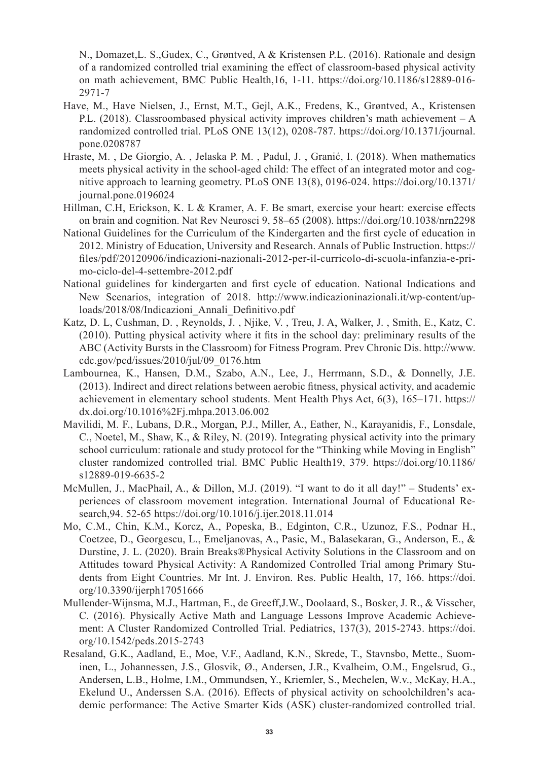N., Domazet,L. S.,Gudex, C., Grøntved, A & Kristensen P.L. (2016). Rationale and design of a randomized controlled trial examining the effect of classroom-based physical activity on math achievement, BMC Public Health,16, 1-11. https://doi.org/10.1186/s12889-016- 2971-7

- Have, M., Have Nielsen, J., Ernst, M.T., Gejl, A.K., Fredens, K., Grøntved, A., Kristensen P.L. (2018). Classroombased physical activity improves children's math achievement – A randomized controlled trial. PLoS ONE 13(12), 0208-787. https://doi.org/10.1371/journal. pone.0208787
- Hraste, M. , De Giorgio, A. , Jelaska P. M. , Padul, J. , Granić, I. (2018). When mathematics meets physical activity in the school-aged child: The effect of an integrated motor and cognitive approach to learning geometry. PLoS ONE 13(8), 0196-024. https://doi.org/10.1371/ journal.pone.0196024
- Hillman, C.H, Erickson, K. L & Kramer, A. F. Be smart, exercise your heart: exercise effects on brain and cognition. Nat Rev Neurosci 9, 58–65 (2008). https://doi.org/10.1038/nrn2298
- National Guidelines for the Curriculum of the Kindergarten and the first cycle of education in 2012. Ministry of Education, University and Research. Annals of Public Instruction. https:// files/pdf/20120906/indicazioni-nazionali-2012-per-il-curricolo-di-scuola-infanzia-e-primo-ciclo-del-4-settembre-2012.pdf
- National guidelines for kindergarten and first cycle of education. National Indications and New Scenarios, integration of 2018. http://www.indicazioninazionali.it/wp-content/uploads/2018/08/Indicazioni\_Annali\_Definitivo.pdf
- Katz, D. L, Cushman, D. , Reynolds, J. , Njike, V. , Treu, J. A, Walker, J. , Smith, E., Katz, C. (2010). Putting physical activity where it fits in the school day: preliminary results of the ABC (Activity Bursts in the Classroom) for Fitness Program. Prev Chronic Dis. http://www. cdc.gov/pcd/issues/2010/jul/09\_0176.htm
- Lambournea, K., Hansen, D.M., Szabo, A.N., Lee, J., Herrmann, S.D., & Donnelly, J.E. (2013). Indirect and direct relations between aerobic fitness, physical activity, and academic achievement in elementary school students. Ment Health Phys Act, 6(3), 165–171. https:// dx.doi.org/10.1016%2Fj.mhpa.2013.06.002
- Mavilidi, M. F., Lubans, D.R., Morgan, P.J., Miller, A., Eather, N., Karayanidis, F., Lonsdale, C., Noetel, M., Shaw, K., & Riley, N. (2019). Integrating physical activity into the primary school curriculum: rationale and study protocol for the "Thinking while Moving in English" cluster randomized controlled trial. BMC Public Health19, 379. https://doi.org/10.1186/ s12889-019-6635-2
- McMullen, J., MacPhail, A., & Dillon, M.J. (2019). "I want to do it all day!" Students' experiences of classroom movement integration. International Journal of Educational Research,94. 52-65 https://doi.org/10.1016/j.ijer.2018.11.014
- Mo, C.M., Chin, K.M., Korcz, A., Popeska, B., Edginton, C.R., Uzunoz, F.S., Podnar H., Coetzee, D., Georgescu, L., Emeljanovas, A., Pasic, M., Balasekaran, G., Anderson, E., & Durstine, J. L. (2020). Brain Breaks®Physical Activity Solutions in the Classroom and on Attitudes toward Physical Activity: A Randomized Controlled Trial among Primary Students from Eight Countries. Mr Int. J. Environ. Res. Public Health, 17, 166. https://doi. org/10.3390/ijerph17051666
- Mullender-Wijnsma, M.J., Hartman, E., de Greeff,J.W., Doolaard, S., Bosker, J. R., & Visscher, C. (2016). Physically Active Math and Language Lessons Improve Academic Achievement: A Cluster Randomized Controlled Trial. Pediatrics, 137(3), 2015-2743. https://doi. org/10.1542/peds.2015-2743
- Resaland, G.K., Aadland, E., Moe, V.F., Aadland, K.N., Skrede, T., Stavnsbo, Mette., Suominen, L., Johannessen, J.S., Glosvik, Ø., Andersen, J.R., Kvalheim, O.M., Engelsrud, G., Andersen, L.B., Holme, I.M., Ommundsen, Y., Kriemler, S., Mechelen, W.v., McKay, H.A., Ekelund U., Anderssen S.A. (2016). Effects of physical activity on schoolchildren's academic performance: The Active Smarter Kids (ASK) cluster-randomized controlled trial.